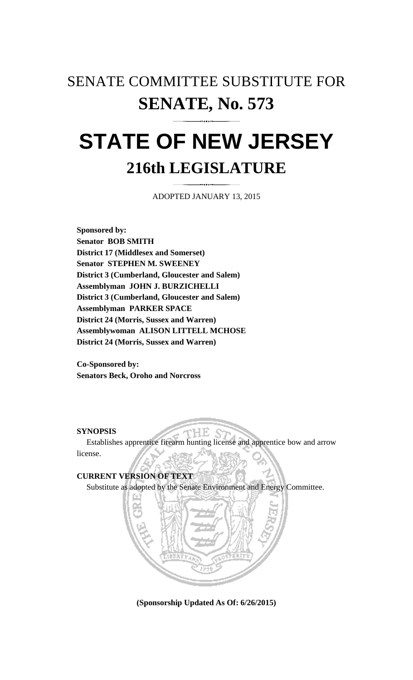# SENATE COMMITTEE SUBSTITUTE FOR **SENATE, No. 573**

# **STATE OF NEW JERSEY 216th LEGISLATURE**

ADOPTED JANUARY 13, 2015

**Sponsored by: Senator BOB SMITH District 17 (Middlesex and Somerset) Senator STEPHEN M. SWEENEY District 3 (Cumberland, Gloucester and Salem) Assemblyman JOHN J. BURZICHELLI District 3 (Cumberland, Gloucester and Salem) Assemblyman PARKER SPACE District 24 (Morris, Sussex and Warren) Assemblywoman ALISON LITTELL MCHOSE District 24 (Morris, Sussex and Warren)** 

**Co-Sponsored by: Senators Beck, Oroho and Norcross** 

# **SYNOPSIS**

 Establishes apprentice firearm hunting license and apprentice bow and arrow license.

HE.

# **CURRENT VERSION OF TEXT**  Substitute as adopted by the Senate Environment and Energy Committee.



**(Sponsorship Updated As Of: 6/26/2015)**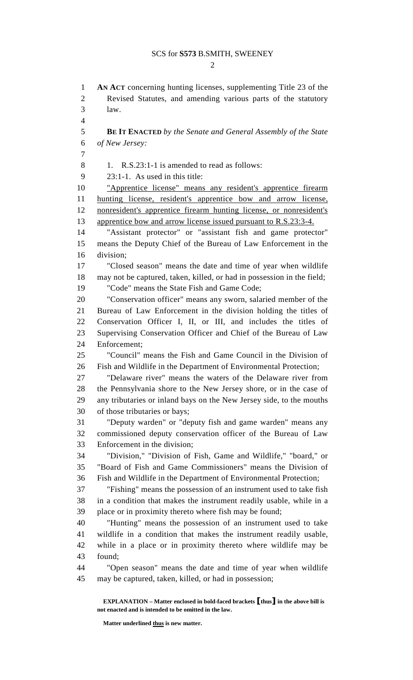$\mathcal{D}$ 

1 **AN ACT** concerning hunting licenses, supplementing Title 23 of the 2 Revised Statutes, and amending various parts of the statutory 3 law.  $\overline{\mathbf{A}}$ 5 **BE IT ENACTED** *by the Senate and General Assembly of the State*  6 *of New Jersey:*  7  $8 \t 1$ . R.S. 23:1-1 is amended to read as follows: 9 23:1-1. As used in this title: 10 "Apprentice license" means any resident's apprentice firearm 11 hunting license, resident's apprentice bow and arrow license, 12 nonresident's apprentice firearm hunting license, or nonresident's 13 apprentice bow and arrow license issued pursuant to R.S.23:3-4. 14 "Assistant protector" or "assistant fish and game protector" 15 means the Deputy Chief of the Bureau of Law Enforcement in the 16 division; 17 "Closed season" means the date and time of year when wildlife 18 may not be captured, taken, killed, or had in possession in the field; 19 "Code" means the State Fish and Game Code; 20 "Conservation officer" means any sworn, salaried member of the 21 Bureau of Law Enforcement in the division holding the titles of 22 Conservation Officer I, II, or III, and includes the titles of 23 Supervising Conservation Officer and Chief of the Bureau of Law 24 Enforcement; 25 "Council" means the Fish and Game Council in the Division of 26 Fish and Wildlife in the Department of Environmental Protection; 27 "Delaware river" means the waters of the Delaware river from 28 the Pennsylvania shore to the New Jersey shore, or in the case of 29 any tributaries or inland bays on the New Jersey side, to the mouths 30 of those tributaries or bays; 31 "Deputy warden" or "deputy fish and game warden" means any 32 commissioned deputy conservation officer of the Bureau of Law 33 Enforcement in the division; 34 "Division," "Division of Fish, Game and Wildlife," "board," or 35 "Board of Fish and Game Commissioners" means the Division of 36 Fish and Wildlife in the Department of Environmental Protection; 37 "Fishing" means the possession of an instrument used to take fish 38 in a condition that makes the instrument readily usable, while in a 39 place or in proximity thereto where fish may be found; 40 "Hunting" means the possession of an instrument used to take 41 wildlife in a condition that makes the instrument readily usable, 42 while in a place or in proximity thereto where wildlife may be 43 found; 44 "Open season" means the date and time of year when wildlife 45 may be captured, taken, killed, or had in possession;

 **EXPLANATION – Matter enclosed in bold-faced brackets** [**thus**] **in the above bill is not enacted and is intended to be omitted in the law.** 

 **Matter underlined thus is new matter.**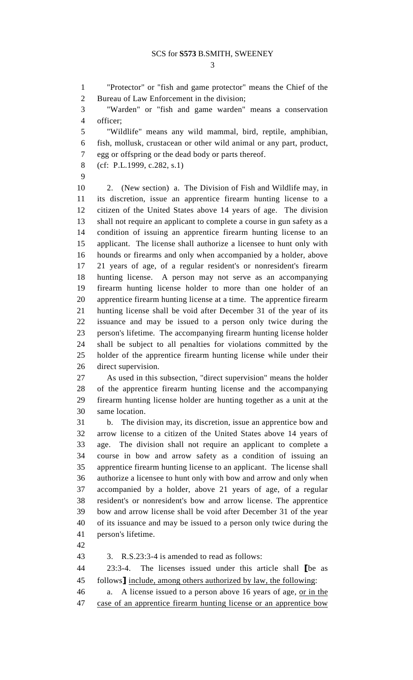3

1 "Protector" or "fish and game protector" means the Chief of the 2 Bureau of Law Enforcement in the division;

3 "Warden" or "fish and game warden" means a conservation 4 officer;

5 "Wildlife" means any wild mammal, bird, reptile, amphibian, 6 fish, mollusk, crustacean or other wild animal or any part, product, 7 egg or offspring or the dead body or parts thereof.

- 8 (cf: P.L.1999, c.282, s.1)
- 9

10 2. (New section) a. The Division of Fish and Wildlife may, in 11 its discretion, issue an apprentice firearm hunting license to a 12 citizen of the United States above 14 years of age. The division 13 shall not require an applicant to complete a course in gun safety as a 14 condition of issuing an apprentice firearm hunting license to an 15 applicant. The license shall authorize a licensee to hunt only with 16 hounds or firearms and only when accompanied by a holder, above 17 21 years of age, of a regular resident's or nonresident's firearm 18 hunting license. A person may not serve as an accompanying 19 firearm hunting license holder to more than one holder of an 20 apprentice firearm hunting license at a time. The apprentice firearm 21 hunting license shall be void after December 31 of the year of its 22 issuance and may be issued to a person only twice during the 23 person's lifetime. The accompanying firearm hunting license holder 24 shall be subject to all penalties for violations committed by the 25 holder of the apprentice firearm hunting license while under their 26 direct supervision.

27 As used in this subsection, "direct supervision" means the holder 28 of the apprentice firearm hunting license and the accompanying 29 firearm hunting license holder are hunting together as a unit at the 30 same location.

31 b. The division may, its discretion, issue an apprentice bow and 32 arrow license to a citizen of the United States above 14 years of 33 age. The division shall not require an applicant to complete a 34 course in bow and arrow safety as a condition of issuing an 35 apprentice firearm hunting license to an applicant. The license shall 36 authorize a licensee to hunt only with bow and arrow and only when 37 accompanied by a holder, above 21 years of age, of a regular 38 resident's or nonresident's bow and arrow license. The apprentice 39 bow and arrow license shall be void after December 31 of the year 40 of its issuance and may be issued to a person only twice during the 41 person's lifetime.

42

43 3. R.S.23:3-4 is amended to read as follows:

44 23:3-4. The licenses issued under this article shall [be as 45 follows] include, among others authorized by law, the following:

46 a. A license issued to a person above 16 years of age, or in the 47 case of an apprentice firearm hunting license or an apprentice bow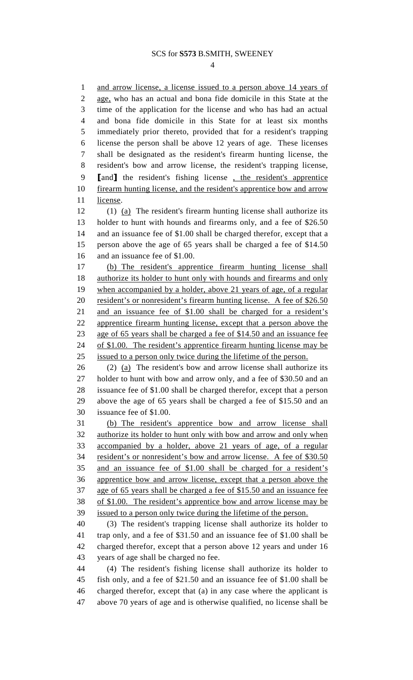#### SCS for **S573** B.SMITH, SWEENEY

4

1 and arrow license, a license issued to a person above 14 years of 2 age, who has an actual and bona fide domicile in this State at the 3 time of the application for the license and who has had an actual 4 and bona fide domicile in this State for at least six months 5 immediately prior thereto, provided that for a resident's trapping 6 license the person shall be above 12 years of age. These licenses 7 shall be designated as the resident's firearm hunting license, the 8 resident's bow and arrow license, the resident's trapping license, 9 [and] the resident's fishing license , the resident's apprentice 10 firearm hunting license, and the resident's apprentice bow and arrow 11 license. 12 (1) (a) The resident's firearm hunting license shall authorize its 13 holder to hunt with hounds and firearms only, and a fee of \$26.50 14 and an issuance fee of \$1.00 shall be charged therefor, except that a 15 person above the age of 65 years shall be charged a fee of \$14.50 16 and an issuance fee of \$1.00. 17 (b) The resident's apprentice firearm hunting license shall 18 authorize its holder to hunt only with hounds and firearms and only 19 when accompanied by a holder, above 21 years of age, of a regular 20 resident's or nonresident's firearm hunting license. A fee of \$26.50 21 and an issuance fee of \$1.00 shall be charged for a resident's 22 apprentice firearm hunting license, except that a person above the 23 age of 65 years shall be charged a fee of \$14.50 and an issuance fee 24 of \$1.00. The resident's apprentice firearm hunting license may be 25 issued to a person only twice during the lifetime of the person.  $26$  (2) (a) The resident's bow and arrow license shall authorize its

27 holder to hunt with bow and arrow only, and a fee of \$30.50 and an 28 issuance fee of \$1.00 shall be charged therefor, except that a person 29 above the age of 65 years shall be charged a fee of \$15.50 and an 30 issuance fee of \$1.00.

31 (b) The resident's apprentice bow and arrow license shall 32 authorize its holder to hunt only with bow and arrow and only when 33 accompanied by a holder, above 21 years of age, of a regular 34 resident's or nonresident's bow and arrow license. A fee of \$30.50 35 and an issuance fee of \$1.00 shall be charged for a resident's 36 apprentice bow and arrow license, except that a person above the 37 age of 65 years shall be charged a fee of \$15.50 and an issuance fee 38 of \$1.00. The resident's apprentice bow and arrow license may be 39 issued to a person only twice during the lifetime of the person.

40 (3) The resident's trapping license shall authorize its holder to 41 trap only, and a fee of \$31.50 and an issuance fee of \$1.00 shall be 42 charged therefor, except that a person above 12 years and under 16 43 years of age shall be charged no fee.

44 (4) The resident's fishing license shall authorize its holder to 45 fish only, and a fee of \$21.50 and an issuance fee of \$1.00 shall be 46 charged therefor, except that (a) in any case where the applicant is 47 above 70 years of age and is otherwise qualified, no license shall be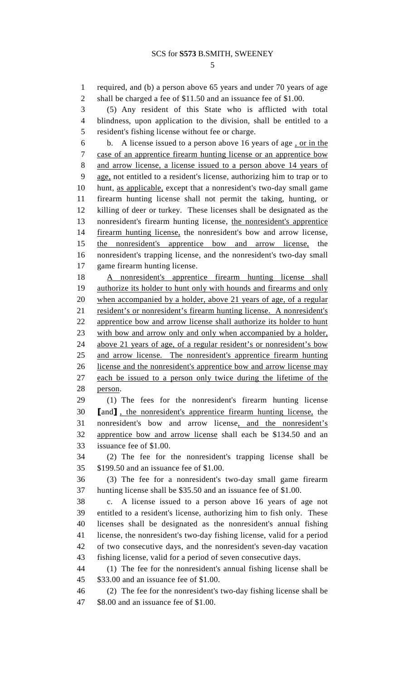5

1 required, and (b) a person above 65 years and under 70 years of age 2 shall be charged a fee of \$11.50 and an issuance fee of \$1.00.

3 (5) Any resident of this State who is afflicted with total 4 blindness, upon application to the division, shall be entitled to a 5 resident's fishing license without fee or charge.

6 b. A license issued to a person above 16 years of age , or in the 7 case of an apprentice firearm hunting license or an apprentice bow 8 and arrow license, a license issued to a person above 14 years of 9 age, not entitled to a resident's license, authorizing him to trap or to 10 hunt, as applicable, except that a nonresident's two-day small game 11 firearm hunting license shall not permit the taking, hunting, or 12 killing of deer or turkey. These licenses shall be designated as the 13 nonresident's firearm hunting license, the nonresident's apprentice 14 firearm hunting license, the nonresident's bow and arrow license, 15 the nonresident's apprentice bow and arrow license, the 16 nonresident's trapping license, and the nonresident's two-day small 17 game firearm hunting license.

18 A nonresident's apprentice firearm hunting license shall 19 authorize its holder to hunt only with hounds and firearms and only 20 when accompanied by a holder, above 21 years of age, of a regular 21 resident's or nonresident's firearm hunting license. A nonresident's 22 apprentice bow and arrow license shall authorize its holder to hunt 23 with bow and arrow only and only when accompanied by a holder, 24 above 21 years of age, of a regular resident's or nonresident's bow 25 and arrow license. The nonresident's apprentice firearm hunting 26 license and the nonresident's apprentice bow and arrow license may 27 each be issued to a person only twice during the lifetime of the 28 person.

29 (1) The fees for the nonresident's firearm hunting license 30 [and] , the nonresident's apprentice firearm hunting license, the 31 nonresident's bow and arrow license, and the nonresident's 32 apprentice bow and arrow license shall each be \$134.50 and an 33 issuance fee of \$1.00.

34 (2) The fee for the nonresident's trapping license shall be 35 \$199.50 and an issuance fee of \$1.00.

36 (3) The fee for a nonresident's two-day small game firearm 37 hunting license shall be \$35.50 and an issuance fee of \$1.00.

38 c. A license issued to a person above 16 years of age not 39 entitled to a resident's license, authorizing him to fish only. These 40 licenses shall be designated as the nonresident's annual fishing 41 license, the nonresident's two-day fishing license, valid for a period 42 of two consecutive days, and the nonresident's seven-day vacation 43 fishing license, valid for a period of seven consecutive days.

44 (1) The fee for the nonresident's annual fishing license shall be 45 \$33.00 and an issuance fee of \$1.00.

46 (2) The fee for the nonresident's two-day fishing license shall be 47 \$8.00 and an issuance fee of \$1.00.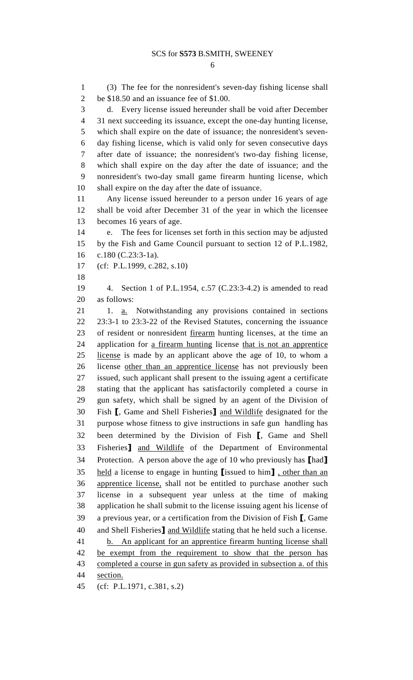1 (3) The fee for the nonresident's seven-day fishing license shall 2 be \$18.50 and an issuance fee of \$1.00. 3 d. Every license issued hereunder shall be void after December 4 31 next succeeding its issuance, except the one-day hunting license, 5 which shall expire on the date of issuance; the nonresident's seven-6 day fishing license, which is valid only for seven consecutive days 7 after date of issuance; the nonresident's two-day fishing license, 8 which shall expire on the day after the date of issuance; and the 9 nonresident's two-day small game firearm hunting license, which 10 shall expire on the day after the date of issuance. 11 Any license issued hereunder to a person under 16 years of age 12 shall be void after December 31 of the year in which the licensee 13 becomes 16 years of age. 14 e. The fees for licenses set forth in this section may be adjusted 15 by the Fish and Game Council pursuant to section 12 of P.L.1982, 16 c.180 (C.23:3-1a). 17 (cf: P.L.1999, c.282, s.10) 18 19 4. Section 1 of P.L.1954, c.57 (C.23:3-4.2) is amended to read 20 as follows: 21 1. a. Notwithstanding any provisions contained in sections 22 23:3-1 to 23:3-22 of the Revised Statutes, concerning the issuance 23 of resident or nonresident firearm hunting licenses, at the time an 24 application for a firearm hunting license that is not an apprentice 25 license is made by an applicant above the age of 10, to whom a 26 license other than an apprentice license has not previously been 27 issued, such applicant shall present to the issuing agent a certificate 28 stating that the applicant has satisfactorily completed a course in 29 gun safety, which shall be signed by an agent of the Division of 30 Fish [, Game and Shell Fisheries] and Wildlife designated for the 31 purpose whose fitness to give instructions in safe gun handling has 32 been determined by the Division of Fish [, Game and Shell 33 Fisheries] and Wildlife of the Department of Environmental 34 Protection. A person above the age of 10 who previously has [had] 35 held a license to engage in hunting [issued to him] , other than an 36 apprentice license, shall not be entitled to purchase another such 37 license in a subsequent year unless at the time of making 38 application he shall submit to the license issuing agent his license of 39 a previous year, or a certification from the Division of Fish [, Game 40 and Shell Fisheries] and Wildlife stating that he held such a license. 41 b. An applicant for an apprentice firearm hunting license shall 42 be exempt from the requirement to show that the person has 43 completed a course in gun safety as provided in subsection a. of this 44 section. 45 (cf: P.L.1971, c.381, s.2)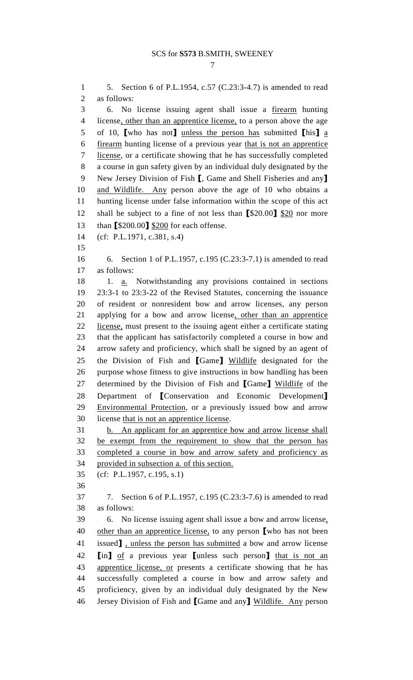## SCS for **S573** B.SMITH, SWEENEY

7

1 5. Section 6 of P.L.1954, c.57 (C.23:3-4.7) is amended to read 2 as follows: 3 6. No license issuing agent shall issue a firearm hunting 4 license, other than an apprentice license, to a person above the age 5 of 10, [who has not] unless the person has submitted  $\ln 1$  a 6 firearm hunting license of a previous year that is not an apprentice 7 license, or a certificate showing that he has successfully completed 8 a course in gun safety given by an individual duly designated by the 9 New Jersey Division of Fish [, Game and Shell Fisheries and any] 10 and Wildlife. Any person above the age of 10 who obtains a 11 hunting license under false information within the scope of this act 12 shall be subject to a fine of not less than [\$20.00] \$20 nor more 13 than [\$200.00] \$200 for each offense. 14 (cf: P.L.1971, c.381, s.4) 15 16 6. Section 1 of P.L.1957, c.195 (C.23:3-7.1) is amended to read 17 as follows: 18 1. a. Notwithstanding any provisions contained in sections 19 23:3-1 to 23:3-22 of the Revised Statutes, concerning the issuance 20 of resident or nonresident bow and arrow licenses, any person 21 applying for a bow and arrow license, other than an apprentice 22 license, must present to the issuing agent either a certificate stating 23 that the applicant has satisfactorily completed a course in bow and 24 arrow safety and proficiency, which shall be signed by an agent of 25 the Division of Fish and [Game] Wildlife designated for the 26 purpose whose fitness to give instructions in bow handling has been 27 determined by the Division of Fish and [Game] Wildlife of the 28 Department of [Conservation and Economic Development] 29 Environmental Protection, or a previously issued bow and arrow 30 license that is not an apprentice license. 31 b. An applicant for an apprentice bow and arrow license shall 32 be exempt from the requirement to show that the person has 33 completed a course in bow and arrow safety and proficiency as 34 provided in subsection a. of this section. 35 (cf: P.L.1957, c.195, s.1) 36 37 7. Section 6 of P.L.1957, c.195 (C.23:3-7.6) is amended to read 38 as follows: 39 6. No license issuing agent shall issue a bow and arrow license, 40 other than an apprentice license, to any person [who has not been 41 issued], unless the person has submitted a bow and arrow license 42 **[in]** of a previous year **[unless such person]** that is not an 43 apprentice license, or presents a certificate showing that he has 44 successfully completed a course in bow and arrow safety and 45 proficiency, given by an individual duly designated by the New 46 Jersey Division of Fish and [Game and any] Wildlife. Any person